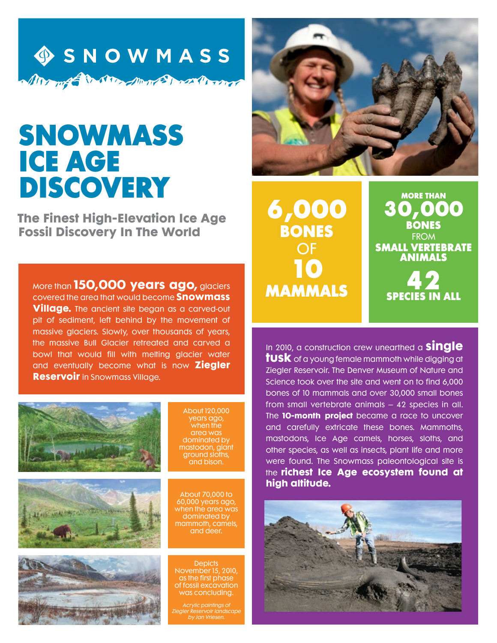

## SNOWMASS ICE AGE DISCOVERY

**The Finest High-Elevation Ice Age Fossil Discovery In The World**

More than **150,000 years ago,** glaciers covered the area that would become **Snowmass Village.** The ancient site began as a carved-out pit of sediment, left behind by the movement of massive glaciers. Slowly, over thousands of years, the massive Bull Glacier retreated and carved a bowl that would fill with melting glacier water and eventually become what is now **Ziegler Reservoir** in Snowmass Village.





About 70,000 to 60,000 years ago, when the area was dominated by mammoth, camels, and deer.

**Depicts** November 15, 2010, as the first phase of fossil excavation was concluding.

Acrylic paintings of Ziegler Reservoir landscape by Jan Vriesen.



6,000 **BONES** OF 10 mammals

more than 30,000 **BONES FROM** small vertebrate animals 42

species in all

In 2010, a construction crew unearthed a **single tusk** of a young female mammoth while digging at Ziegler Reservoir. The Denver Museum of Nature and Science took over the site and went on to find 6,000 bones of 10 mammals and over 30,000 small bones from small vertebrate animals – 42 species in all. The **10-month project** became a race to uncover and carefully extricate these bones. Mammoths, mastodons, Ice Age camels, horses, sloths, and other species, as well as insects, plant life and more were found. The Snowmass paleontological site is the **richest Ice Age ecosystem found at high altitude.**